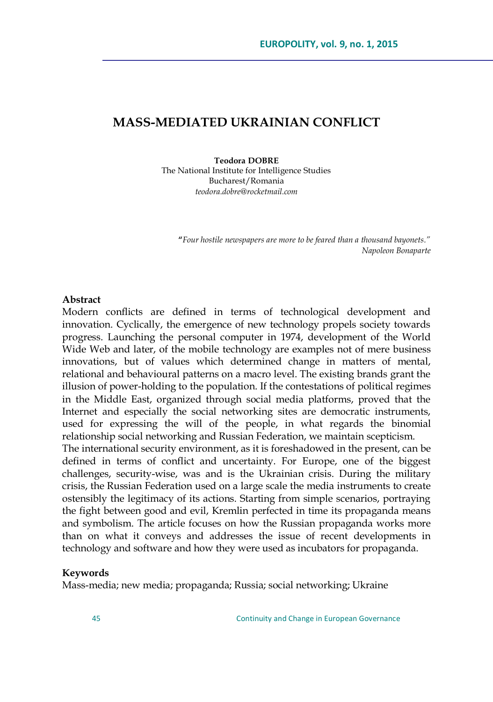# **MASS-MEDIATED UKRAINIAN CONFLICT**

#### **Teodora DOBRE**

The National Institute for Intelligence Studies Bucharest/Romania *teodora.dobre@rocketmail.com*

**"***Four hostile newspapers are more to be feared than a thousand bayonets." Napoleon Bonaparte*

#### **Abstract**

Modern conflicts are defined in terms of technological development and innovation. Cyclically, the emergence of new technology propels society towards progress. Launching the personal computer in 1974, development of the World Wide Web and later, of the mobile technology are examples not of mere business innovations, but of values which determined change in matters of mental, relational and behavioural patterns on a macro level. The existing brands grant the illusion of power-holding to the population. If the contestations of political regimes in the Middle East, organized through social media platforms, proved that the Internet and especially the social networking sites are democratic instruments, used for expressing the will of the people, in what regards the binomial relationship social networking and Russian Federation, we maintain scepticism. The international security environment, as it is foreshadowed in the present, can be defined in terms of conflict and uncertainty. For Europe, one of the biggest challenges, security-wise, was and is the Ukrainian crisis. During the military crisis, the Russian Federation used on a large scale the media instruments to create ostensibly the legitimacy of its actions. Starting from simple scenarios, portraying the fight between good and evil, Kremlin perfected in time its propaganda means and symbolism. The article focuses on how the Russian propaganda works more than on what it conveys and addresses the issue of recent developments in technology and software and how they were used as incubators for propaganda.

#### **Keywords**

Mass-media; new media; propaganda; Russia; social networking; Ukraine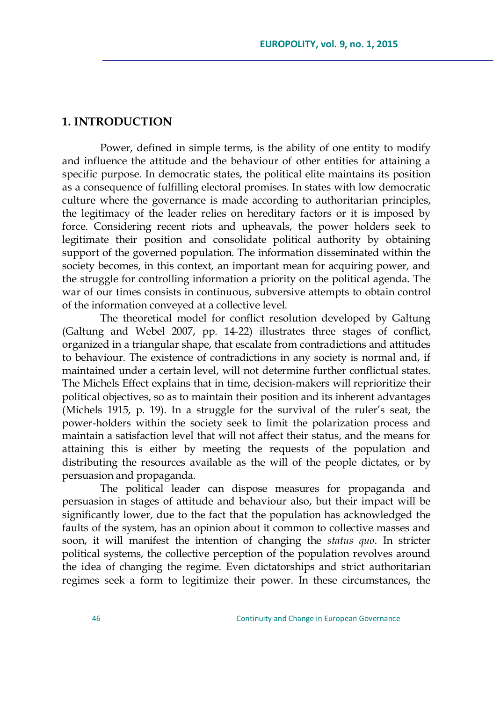# **1. INTRODUCTION**

Power, defined in simple terms, is the ability of one entity to modify and influence the attitude and the behaviour of other entities for attaining a specific purpose. In democratic states, the political elite maintains its position as a consequence of fulfilling electoral promises. In states with low democratic culture where the governance is made according to authoritarian principles, the legitimacy of the leader relies on hereditary factors or it is imposed by force. Considering recent riots and upheavals, the power holders seek to legitimate their position and consolidate political authority by obtaining support of the governed population. The information disseminated within the society becomes, in this context, an important mean for acquiring power, and the struggle for controlling information a priority on the political agenda. The war of our times consists in continuous, subversive attempts to obtain control of the information conveyed at a collective level.

The theoretical model for conflict resolution developed by Galtung (Galtung and Webel 2007, pp. 14-22) illustrates three stages of conflict, organized in a triangular shape, that escalate from contradictions and attitudes to behaviour. The existence of contradictions in any society is normal and, if maintained under a certain level, will not determine further conflictual states. The Michels Effect explains that in time, decision-makers will reprioritize their political objectives, so as to maintain their position and its inherent advantages (Michels 1915, p. 19). In a struggle for the survival of the ruler's seat, the power-holders within the society seek to limit the polarization process and maintain a satisfaction level that will not affect their status, and the means for attaining this is either by meeting the requests of the population and distributing the resources available as the will of the people dictates, or by persuasion and propaganda.

The political leader can dispose measures for propaganda and persuasion in stages of attitude and behaviour also, but their impact will be significantly lower, due to the fact that the population has acknowledged the faults of the system, has an opinion about it common to collective masses and soon, it will manifest the intention of changing the *status quo*. In stricter political systems, the collective perception of the population revolves around the idea of changing the regime. Even dictatorships and strict authoritarian regimes seek a form to legitimize their power. In these circumstances, the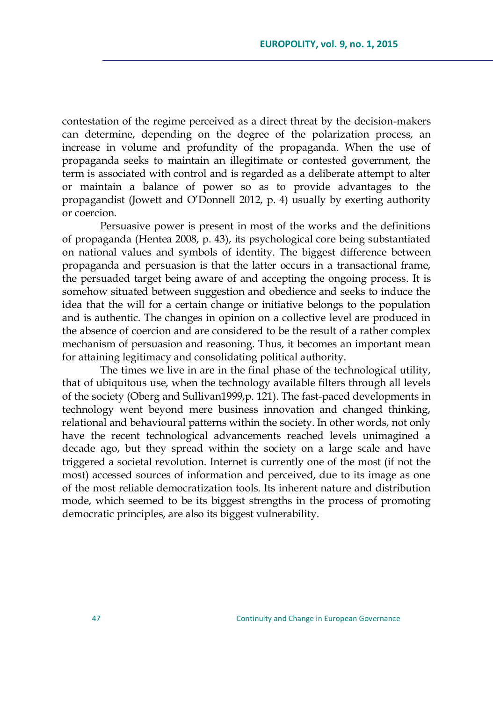contestation of the regime perceived as a direct threat by the decision-makers can determine, depending on the degree of the polarization process, an increase in volume and profundity of the propaganda. When the use of propaganda seeks to maintain an illegitimate or contested government, the term is associated with control and is regarded as a deliberate attempt to alter or maintain a balance of power so as to provide advantages to the propagandist (Jowett and O'Donnell 2012, p. 4) usually by exerting authority or coercion.

Persuasive power is present in most of the works and the definitions of propaganda (Hentea 2008, p. 43), its psychological core being substantiated on national values and symbols of identity. The biggest difference between propaganda and persuasion is that the latter occurs in a transactional frame, the persuaded target being aware of and accepting the ongoing process. It is somehow situated between suggestion and obedience and seeks to induce the idea that the will for a certain change or initiative belongs to the population and is authentic. The changes in opinion on a collective level are produced in the absence of coercion and are considered to be the result of a rather complex mechanism of persuasion and reasoning. Thus, it becomes an important mean for attaining legitimacy and consolidating political authority.

The times we live in are in the final phase of the technological utility, that of ubiquitous use, when the technology available filters through all levels of the society (Oberg and Sullivan1999,p. 121). The fast-paced developments in technology went beyond mere business innovation and changed thinking, relational and behavioural patterns within the society. In other words, not only have the recent technological advancements reached levels unimagined a decade ago, but they spread within the society on a large scale and have triggered a societal revolution. Internet is currently one of the most (if not the most) accessed sources of information and perceived, due to its image as one of the most reliable democratization tools. Its inherent nature and distribution mode, which seemed to be its biggest strengths in the process of promoting democratic principles, are also its biggest vulnerability.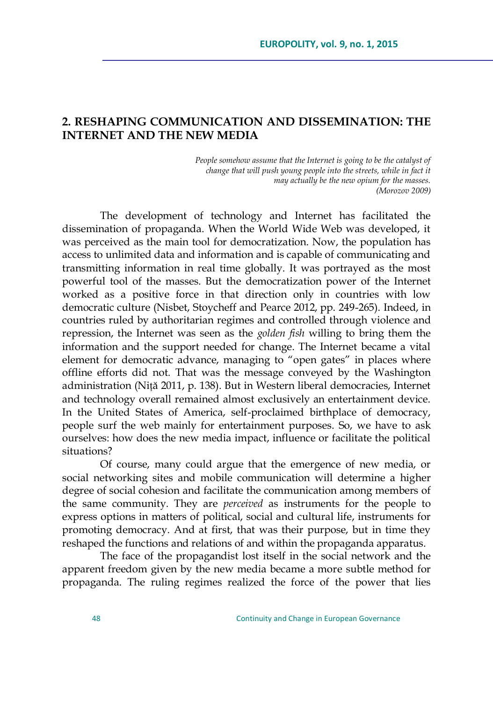# **2. RESHAPING COMMUNICATION AND DISSEMINATION: THE INTERNET AND THE NEW MEDIA**

*People somehow assume that the Internet is going to be the catalyst of change that will push young people into the streets, while in fact it may actually be the new opium for the masses. (Morozov 2009)*

The development of technology and Internet has facilitated the dissemination of propaganda. When the World Wide Web was developed, it was perceived as the main tool for democratization. Now, the population has access to unlimited data and information and is capable of communicating and transmitting information in real time globally. It was portrayed as the most powerful tool of the masses. But the democratization power of the Internet worked as a positive force in that direction only in countries with low democratic culture (Nisbet, Stoycheff and Pearce 2012, pp. 249-265). Indeed, in countries ruled by authoritarian regimes and controlled through violence and repression, the Internet was seen as the *golden fish* willing to bring them the information and the support needed for change. The Internet became a vital element for democratic advance, managing to "open gates" in places where offline efforts did not. That was the message conveyed by the Washington administration (Niță 2011, p. 138). But in Western liberal democracies, Internet and technology overall remained almost exclusively an entertainment device. In the United States of America, self-proclaimed birthplace of democracy, people surf the web mainly for entertainment purposes. So, we have to ask ourselves: how does the new media impact, influence or facilitate the political situations?

Of course, many could argue that the emergence of new media, or social networking sites and mobile communication will determine a higher degree of social cohesion and facilitate the communication among members of the same community. They are *perceived* as instruments for the people to express options in matters of political, social and cultural life, instruments for promoting democracy. And at first, that was their purpose, but in time they reshaped the functions and relations of and within the propaganda apparatus.

The face of the propagandist lost itself in the social network and the apparent freedom given by the new media became a more subtle method for propaganda. The ruling regimes realized the force of the power that lies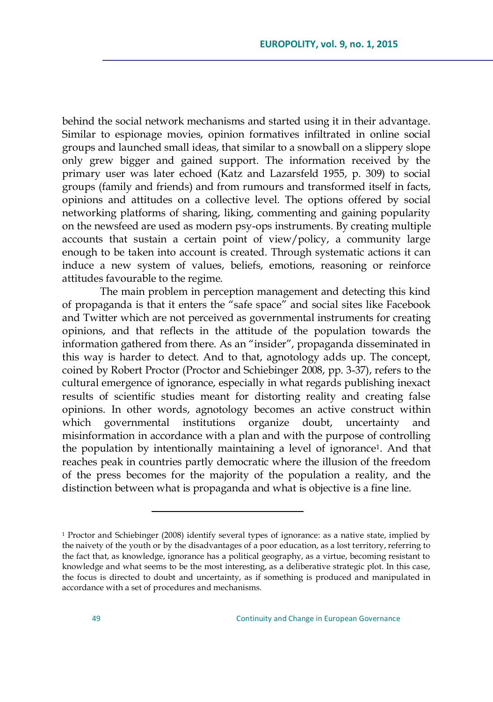behind the social network mechanisms and started using it in their advantage. Similar to espionage movies, opinion formatives infiltrated in online social groups and launched small ideas, that similar to a snowball on a slippery slope only grew bigger and gained support. The information received by the primary user was later echoed (Katz and Lazarsfeld 1955, p. 309) to social groups (family and friends) and from rumours and transformed itself in facts, opinions and attitudes on a collective level. The options offered by social networking platforms of sharing, liking, commenting and gaining popularity on the newsfeed are used as modern psy-ops instruments. By creating multiple accounts that sustain a certain point of view/policy, a community large enough to be taken into account is created. Through systematic actions it can induce a new system of values, beliefs, emotions, reasoning or reinforce attitudes favourable to the regime.

The main problem in perception management and detecting this kind of propaganda is that it enters the "safe space" and social sites like Facebook and Twitter which are not perceived as governmental instruments for creating opinions, and that reflects in the attitude of the population towards the information gathered from there. As an "insider", propaganda disseminated in this way is harder to detect. And to that, agnotology adds up. The concept, coined by Robert Proctor (Proctor and Schiebinger 2008, pp. 3-37), refers to the cultural emergence of ignorance, especially in what regards publishing inexact results of scientific studies meant for distorting reality and creating false opinions. In other words, agnotology becomes an active construct within which governmental institutions organize doubt, uncertainty and misinformation in accordance with a plan and with the purpose of controlling the population by intentionally maintaining a level of ignorance1. And that reaches peak in countries partly democratic where the illusion of the freedom of the press becomes for the majority of the population a reality, and the distinction between what is propaganda and what is objective is a fine line.

 $\overline{a}$ 

<sup>&</sup>lt;sup>1</sup> Proctor and Schiebinger (2008) identify several types of ignorance: as a native state, implied by the naivety of the youth or by the disadvantages of a poor education, as a lost territory, referring to the fact that, as knowledge, ignorance has a political geography, as a virtue, becoming resistant to knowledge and what seems to be the most interesting, as a deliberative strategic plot. In this case, the focus is directed to doubt and uncertainty, as if something is produced and manipulated in accordance with a set of procedures and mechanisms.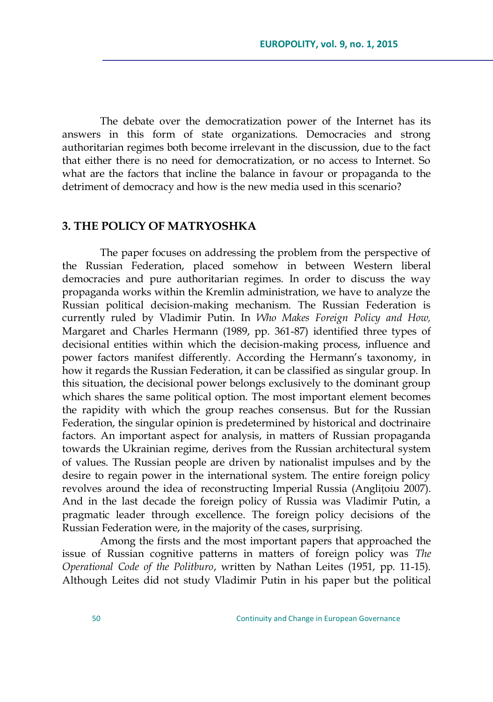The debate over the democratization power of the Internet has its answers in this form of state organizations. Democracies and strong authoritarian regimes both become irrelevant in the discussion, due to the fact that either there is no need for democratization, or no access to Internet. So what are the factors that incline the balance in favour or propaganda to the detriment of democracy and how is the new media used in this scenario?

### **3. THE POLICY OF MATRYOSHKA**

The paper focuses on addressing the problem from the perspective of the Russian Federation, placed somehow in between Western liberal democracies and pure authoritarian regimes. In order to discuss the way propaganda works within the Kremlin administration, we have to analyze the Russian political decision-making mechanism. The Russian Federation is currently ruled by Vladimir Putin. In *Who Makes Foreign Policy and How,*  Margaret and Charles Hermann (1989, pp. 361-87) identified three types of decisional entities within which the decision-making process, influence and power factors manifest differently. According the Hermann's taxonomy, in how it regards the Russian Federation, it can be classified as singular group. In this situation, the decisional power belongs exclusively to the dominant group which shares the same political option. The most important element becomes the rapidity with which the group reaches consensus. But for the Russian Federation, the singular opinion is predetermined by historical and doctrinaire factors. An important aspect for analysis, in matters of Russian propaganda towards the Ukrainian regime, derives from the Russian architectural system of values. The Russian people are driven by nationalist impulses and by the desire to regain power in the international system. The entire foreign policy revolves around the idea of reconstructing Imperial Russia (Anglițoiu 2007). And in the last decade the foreign policy of Russia was Vladimir Putin, a pragmatic leader through excellence. The foreign policy decisions of the Russian Federation were, in the majority of the cases, surprising.

Among the firsts and the most important papers that approached the issue of Russian cognitive patterns in matters of foreign policy was *The Operational Code of the Politburo*, written by Nathan Leites (1951, pp. 11-15). Although Leites did not study Vladimir Putin in his paper but the political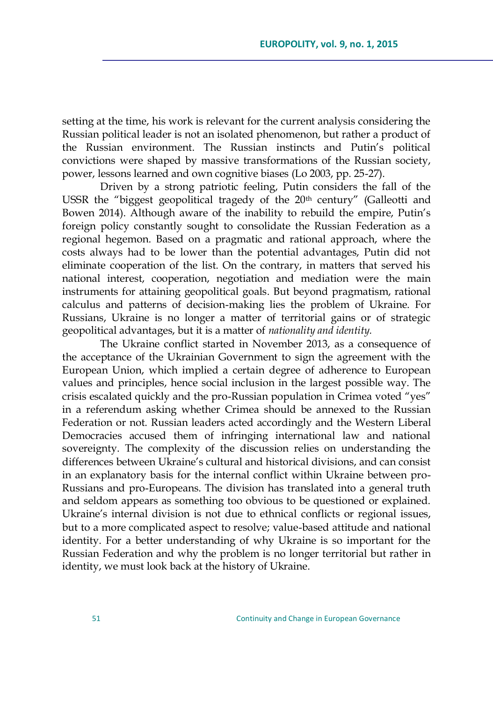setting at the time, his work is relevant for the current analysis considering the Russian political leader is not an isolated phenomenon, but rather a product of the Russian environment. The Russian instincts and Putin's political convictions were shaped by massive transformations of the Russian society, power, lessons learned and own cognitive biases (Lo 2003, pp. 25-27).

Driven by a strong patriotic feeling, Putin considers the fall of the USSR the "biggest geopolitical tragedy of the 20<sup>th</sup> century" (Galleotti and Bowen 2014). Although aware of the inability to rebuild the empire, Putin's foreign policy constantly sought to consolidate the Russian Federation as a regional hegemon. Based on a pragmatic and rational approach, where the costs always had to be lower than the potential advantages, Putin did not eliminate cooperation of the list. On the contrary, in matters that served his national interest, cooperation, negotiation and mediation were the main instruments for attaining geopolitical goals. But beyond pragmatism, rational calculus and patterns of decision-making lies the problem of Ukraine. For Russians, Ukraine is no longer a matter of territorial gains or of strategic geopolitical advantages, but it is a matter of *nationality and identity.*

The Ukraine conflict started in November 2013, as a consequence of the acceptance of the Ukrainian Government to sign the agreement with the European Union, which implied a certain degree of adherence to European values and principles, hence social inclusion in the largest possible way. The crisis escalated quickly and the pro-Russian population in Crimea voted "yes" in a referendum asking whether Crimea should be annexed to the Russian Federation or not. Russian leaders acted accordingly and the Western Liberal Democracies accused them of infringing international law and national sovereignty. The complexity of the discussion relies on understanding the differences between Ukraine's cultural and historical divisions, and can consist in an explanatory basis for the internal conflict within Ukraine between pro-Russians and pro-Europeans. The division has translated into a general truth and seldom appears as something too obvious to be questioned or explained. Ukraine's internal division is not due to ethnical conflicts or regional issues, but to a more complicated aspect to resolve; value-based attitude and national identity. For a better understanding of why Ukraine is so important for the Russian Federation and why the problem is no longer territorial but rather in identity, we must look back at the history of Ukraine.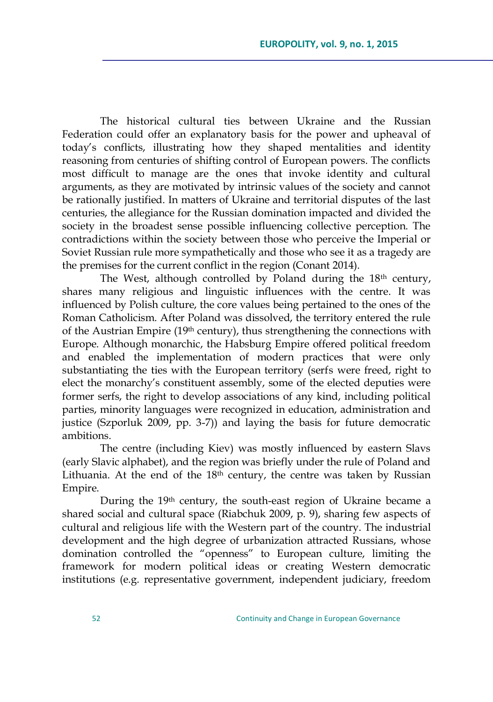The historical cultural ties between Ukraine and the Russian Federation could offer an explanatory basis for the power and upheaval of today's conflicts, illustrating how they shaped mentalities and identity reasoning from centuries of shifting control of European powers. The conflicts most difficult to manage are the ones that invoke identity and cultural arguments, as they are motivated by intrinsic values of the society and cannot be rationally justified. In matters of Ukraine and territorial disputes of the last centuries, the allegiance for the Russian domination impacted and divided the society in the broadest sense possible influencing collective perception. The contradictions within the society between those who perceive the Imperial or Soviet Russian rule more sympathetically and those who see it as a tragedy are the premises for the current conflict in the region (Conant 2014).

The West, although controlled by Poland during the 18<sup>th</sup> century, shares many religious and linguistic influences with the centre. It was influenced by Polish culture, the core values being pertained to the ones of the Roman Catholicism. After Poland was dissolved, the territory entered the rule of the Austrian Empire (19th century), thus strengthening the connections with Europe. Although monarchic, the Habsburg Empire offered political freedom and enabled the implementation of modern practices that were only substantiating the ties with the European territory (serfs were freed, right to elect the monarchy's constituent assembly, some of the elected deputies were former serfs, the right to develop associations of any kind, including political parties, minority languages were recognized in education, administration and justice (Szporluk 2009, pp. 3-7)) and laying the basis for future democratic ambitions.

The centre (including Kiev) was mostly influenced by eastern Slavs (early Slavic alphabet), and the region was briefly under the rule of Poland and Lithuania. At the end of the 18<sup>th</sup> century, the centre was taken by Russian Empire.

During the 19<sup>th</sup> century, the south-east region of Ukraine became a shared social and cultural space (Riabchuk 2009, p. 9), sharing few aspects of cultural and religious life with the Western part of the country. The industrial development and the high degree of urbanization attracted Russians, whose domination controlled the "openness" to European culture, limiting the framework for modern political ideas or creating Western democratic institutions (e.g. representative government, independent judiciary, freedom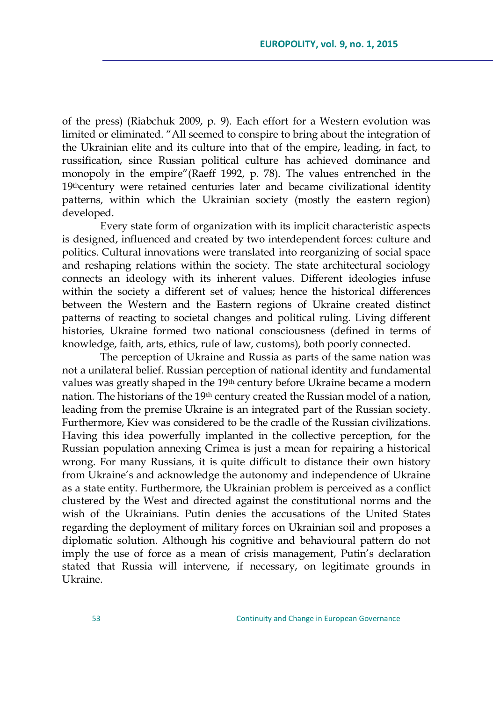of the press) (Riabchuk 2009, p. 9). Each effort for a Western evolution was limited or eliminated. "All seemed to conspire to bring about the integration of the Ukrainian elite and its culture into that of the empire, leading, in fact, to russification, since Russian political culture has achieved dominance and monopoly in the empire" (Raeff 1992, p. 78). The values entrenched in the 19thcentury were retained centuries later and became civilizational identity patterns, within which the Ukrainian society (mostly the eastern region) developed.

Every state form of organization with its implicit characteristic aspects is designed, influenced and created by two interdependent forces: culture and politics. Cultural innovations were translated into reorganizing of social space and reshaping relations within the society. The state architectural sociology connects an ideology with its inherent values. Different ideologies infuse within the society a different set of values; hence the historical differences between the Western and the Eastern regions of Ukraine created distinct patterns of reacting to societal changes and political ruling. Living different histories, Ukraine formed two national consciousness (defined in terms of knowledge, faith, arts, ethics, rule of law, customs), both poorly connected.

The perception of Ukraine and Russia as parts of the same nation was not a unilateral belief. Russian perception of national identity and fundamental values was greatly shaped in the 19th century before Ukraine became a modern nation. The historians of the 19<sup>th</sup> century created the Russian model of a nation, leading from the premise Ukraine is an integrated part of the Russian society. Furthermore, Kiev was considered to be the cradle of the Russian civilizations. Having this idea powerfully implanted in the collective perception, for the Russian population annexing Crimea is just a mean for repairing a historical wrong. For many Russians, it is quite difficult to distance their own history from Ukraine's and acknowledge the autonomy and independence of Ukraine as a state entity. Furthermore, the Ukrainian problem is perceived as a conflict clustered by the West and directed against the constitutional norms and the wish of the Ukrainians. Putin denies the accusations of the United States regarding the deployment of military forces on Ukrainian soil and proposes a diplomatic solution. Although his cognitive and behavioural pattern do not imply the use of force as a mean of crisis management, Putin's declaration stated that Russia will intervene, if necessary, on legitimate grounds in Ukraine.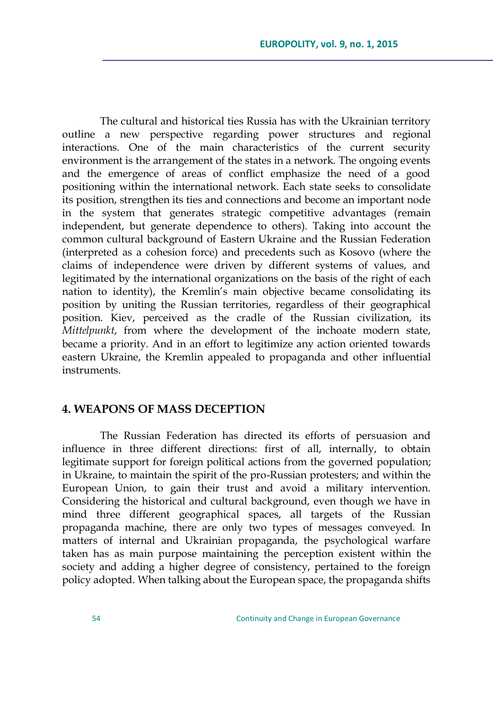The cultural and historical ties Russia has with the Ukrainian territory outline a new perspective regarding power structures and regional interactions. One of the main characteristics of the current security environment is the arrangement of the states in a network. The ongoing events and the emergence of areas of conflict emphasize the need of a good positioning within the international network. Each state seeks to consolidate its position, strengthen its ties and connections and become an important node in the system that generates strategic competitive advantages (remain independent, but generate dependence to others). Taking into account the common cultural background of Eastern Ukraine and the Russian Federation (interpreted as a cohesion force) and precedents such as Kosovo (where the claims of independence were driven by different systems of values, and legitimated by the international organizations on the basis of the right of each nation to identity), the Kremlin's main objective became consolidating its position by uniting the Russian territories, regardless of their geographical position. Kiev, perceived as the cradle of the Russian civilization, its *Mittelpunkt*, from where the development of the inchoate modern state, became a priority. And in an effort to legitimize any action oriented towards eastern Ukraine, the Kremlin appealed to propaganda and other influential instruments.

# **4. WEAPONS OF MASS DECEPTION**

The Russian Federation has directed its efforts of persuasion and influence in three different directions: first of all, internally, to obtain legitimate support for foreign political actions from the governed population; in Ukraine, to maintain the spirit of the pro-Russian protesters; and within the European Union, to gain their trust and avoid a military intervention. Considering the historical and cultural background, even though we have in mind three different geographical spaces, all targets of the Russian propaganda machine, there are only two types of messages conveyed. In matters of internal and Ukrainian propaganda, the psychological warfare taken has as main purpose maintaining the perception existent within the society and adding a higher degree of consistency, pertained to the foreign policy adopted. When talking about the European space, the propaganda shifts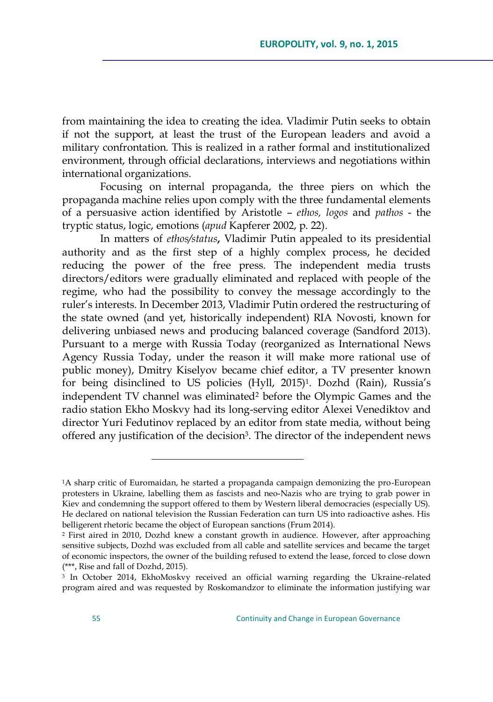from maintaining the idea to creating the idea. Vladimir Putin seeks to obtain if not the support, at least the trust of the European leaders and avoid a military confrontation. This is realized in a rather formal and institutionalized environment, through official declarations, interviews and negotiations within international organizations.

Focusing on internal propaganda, the three piers on which the propaganda machine relies upon comply with the three fundamental elements of a persuasive action identified by Aristotle – *ethos, logos* and *pathos* - the tryptic status, logic, emotions (*apud* Kapferer 2002, p. 22).

In matters of *ethos/status***,** Vladimir Putin appealed to its presidential authority and as the first step of a highly complex process, he decided reducing the power of the free press. The independent media trusts directors/editors were gradually eliminated and replaced with people of the regime, who had the possibility to convey the message accordingly to the ruler's interests. In December 2013, Vladimir Putin ordered the restructuring of the state owned (and yet, historically independent) RIA Novosti, known for delivering unbiased news and producing balanced coverage (Sandford 2013). Pursuant to a merge with Russia Today (reorganized as International News Agency Russia Today, under the reason it will make more rational use of public money), Dmitry Kiselyov became chief editor, a TV presenter known for being disinclined to US policies (Hyll, 2015)1. Dozhd (Rain), Russia's independent TV channel was eliminated<sup>2</sup> before the Olympic Games and the radio station Ekho Moskvy had its long-serving editor Alexei Venediktov and director Yuri Fedutinov replaced by an editor from state media, without being offered any justification of the decision<sup>3</sup>. The director of the independent news

 $\overline{a}$ 

<sup>&</sup>lt;sup>1</sup>A sharp critic of Euromaidan, he started a propaganda campaign demonizing the pro-European protesters in Ukraine, labelling them as fascists and neo-Nazis who are trying to grab power in Kiev and condemning the support offered to them by Western liberal democracies (especially US). He declared on national television the Russian Federation can turn US into radioactive ashes. His belligerent rhetoric became the object of European sanctions (Frum 2014).

<sup>2</sup> First aired in 2010, Dozhd knew a constant growth in audience. However, after approaching sensitive subjects, Dozhd was excluded from all cable and satellite services and became the target of economic inspectors, the owner of the building refused to extend the lease, forced to close down (\*\*\*, Rise and fall of Dozhd, 2015).

<sup>3</sup> In October 2014, EkhoMoskvy received an official warning regarding the Ukraine-related program aired and was requested by Roskomandzor to eliminate the information justifying war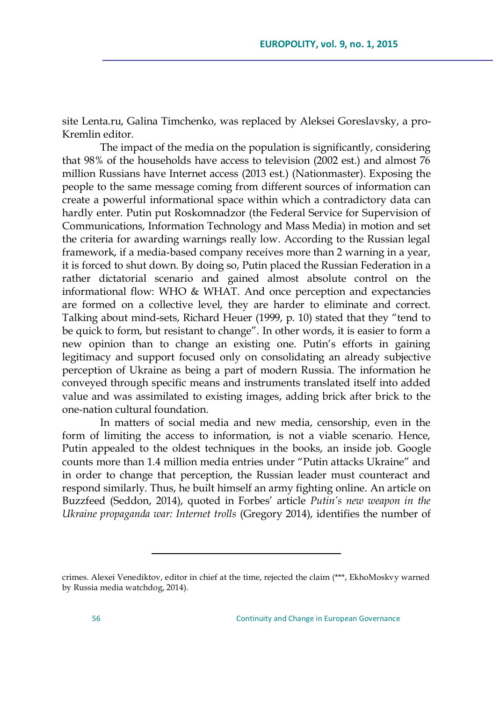site Lenta.ru, Galina Timchenko, was replaced by Aleksei Goreslavsky, a pro-Kremlin editor.

The impact of the media on the population is significantly, considering that 98% of the households have access to television (2002 est.) and almost 76 million Russians have Internet access (2013 est.) (Nationmaster). Exposing the people to the same message coming from different sources of information can create a powerful informational space within which a contradictory data can hardly enter. Putin put Roskomnadzor (the Federal Service for Supervision of Communications, Information Technology and Mass Media) in motion and set the criteria for awarding warnings really low. According to the Russian legal framework, if a media-based company receives more than 2 warning in a year, it is forced to shut down. By doing so, Putin placed the Russian Federation in a rather dictatorial scenario and gained almost absolute control on the informational flow: WHO & WHAT. And once perception and expectancies are formed on a collective level, they are harder to eliminate and correct. Talking about mind-sets, Richard Heuer (1999, p. 10) stated that they "tend to be quick to form, but resistant to change". In other words, it is easier to form a new opinion than to change an existing one. Putin's efforts in gaining legitimacy and support focused only on consolidating an already subjective perception of Ukraine as being a part of modern Russia. The information he conveyed through specific means and instruments translated itself into added value and was assimilated to existing images, adding brick after brick to the one-nation cultural foundation.

In matters of social media and new media, censorship, even in the form of limiting the access to information, is not a viable scenario. Hence, Putin appealed to the oldest techniques in the books, an inside job. Google counts more than 1.4 million media entries under "Putin attacks Ukraine" and in order to change that perception, the Russian leader must counteract and respond similarly. Thus, he built himself an army fighting online. An article on Buzzfeed (Seddon, 2014), quoted in Forbes' article *Putin"s new weapon in the Ukraine propaganda war: Internet trolls* (Gregory 2014), identifies the number of

 $\overline{a}$ 

crimes. Alexei Venediktov, editor in chief at the time, rejected the claim (\*\*\*, EkhoMoskvy warned by Russia media watchdog, 2014).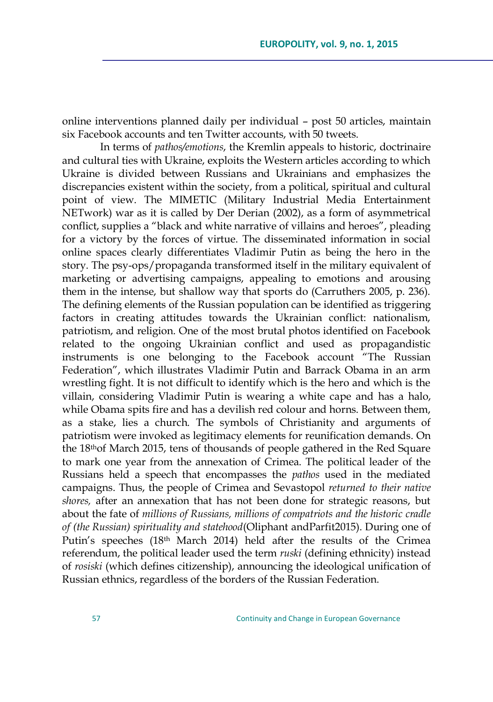online interventions planned daily per individual – post 50 articles, maintain six Facebook accounts and ten Twitter accounts, with 50 tweets.

In terms of *pathos/emotions*, the Kremlin appeals to historic, doctrinaire and cultural ties with Ukraine, exploits the Western articles according to which Ukraine is divided between Russians and Ukrainians and emphasizes the discrepancies existent within the society, from a political, spiritual and cultural point of view. The MIMETIC (Military Industrial Media Entertainment NETwork) war as it is called by Der Derian (2002), as a form of asymmetrical conflict, supplies a "black and white narrative of villains and heroes", pleading for a victory by the forces of virtue. The disseminated information in social online spaces clearly differentiates Vladimir Putin as being the hero in the story. The psy-ops/propaganda transformed itself in the military equivalent of marketing or advertising campaigns, appealing to emotions and arousing them in the intense, but shallow way that sports do (Carruthers 2005, p. 236). The defining elements of the Russian population can be identified as triggering factors in creating attitudes towards the Ukrainian conflict: nationalism, patriotism, and religion. One of the most brutal photos identified on Facebook related to the ongoing Ukrainian conflict and used as propagandistic instruments is one belonging to the Facebook account "The Russian Federation‖, which illustrates Vladimir Putin and Barrack Obama in an arm wrestling fight. It is not difficult to identify which is the hero and which is the villain, considering Vladimir Putin is wearing a white cape and has a halo, while Obama spits fire and has a devilish red colour and horns. Between them, as a stake, lies a church. The symbols of Christianity and arguments of patriotism were invoked as legitimacy elements for reunification demands. On the 18thof March 2015, tens of thousands of people gathered in the Red Square to mark one year from the annexation of Crimea. The political leader of the Russians held a speech that encompasses the *pathos* used in the mediated campaigns. Thus, the people of Crimea and Sevastopol *returned to their native shores,* after an annexation that has not been done for strategic reasons, but about the fate of *millions of Russians, millions of compatriots and the historic cradle of (the Russian) spirituality and statehood*(Oliphant andParfit2015). During one of Putin's speeches (18<sup>th</sup> March 2014) held after the results of the Crimea referendum, the political leader used the term *ruski* (defining ethnicity) instead of *rosiski* (which defines citizenship), announcing the ideological unification of Russian ethnics, regardless of the borders of the Russian Federation.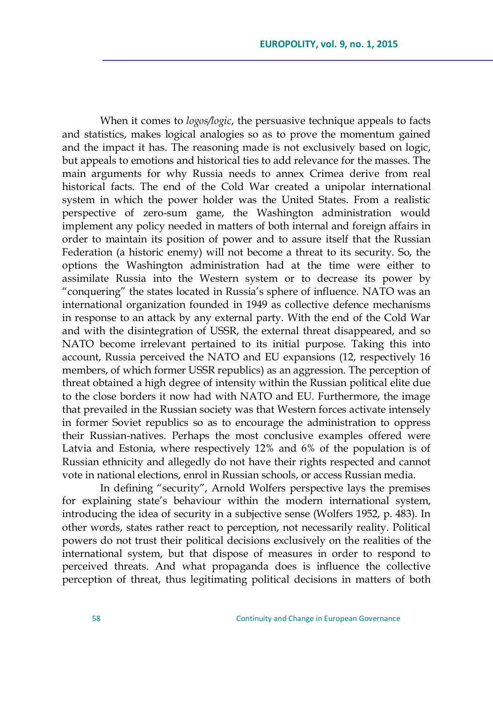When it comes to *logos/logic*, the persuasive technique appeals to facts and statistics, makes logical analogies so as to prove the momentum gained and the impact it has. The reasoning made is not exclusively based on logic, but appeals to emotions and historical ties to add relevance for the masses. The main arguments for why Russia needs to annex Crimea derive from real historical facts. The end of the Cold War created a unipolar international system in which the power holder was the United States. From a realistic perspective of zero-sum game, the Washington administration would implement any policy needed in matters of both internal and foreign affairs in order to maintain its position of power and to assure itself that the Russian Federation (a historic enemy) will not become a threat to its security. So, the options the Washington administration had at the time were either to assimilate Russia into the Western system or to decrease its power by ―conquering‖ the states located in Russia's sphere of influence. NATO was an international organization founded in 1949 as collective defence mechanisms in response to an attack by any external party. With the end of the Cold War and with the disintegration of USSR, the external threat disappeared, and so NATO become irrelevant pertained to its initial purpose. Taking this into account, Russia perceived the NATO and EU expansions (12, respectively 16 members, of which former USSR republics) as an aggression. The perception of threat obtained a high degree of intensity within the Russian political elite due to the close borders it now had with NATO and EU. Furthermore, the image that prevailed in the Russian society was that Western forces activate intensely in former Soviet republics so as to encourage the administration to oppress their Russian-natives. Perhaps the most conclusive examples offered were Latvia and Estonia, where respectively 12% and 6% of the population is of Russian ethnicity and allegedly do not have their rights respected and cannot vote in national elections, enrol in Russian schools, or access Russian media.

In defining "security", Arnold Wolfers perspective lays the premises for explaining state's behaviour within the modern international system, introducing the idea of security in a subjective sense (Wolfers 1952, p. 483). In other words, states rather react to perception, not necessarily reality. Political powers do not trust their political decisions exclusively on the realities of the international system, but that dispose of measures in order to respond to perceived threats. And what propaganda does is influence the collective perception of threat, thus legitimating political decisions in matters of both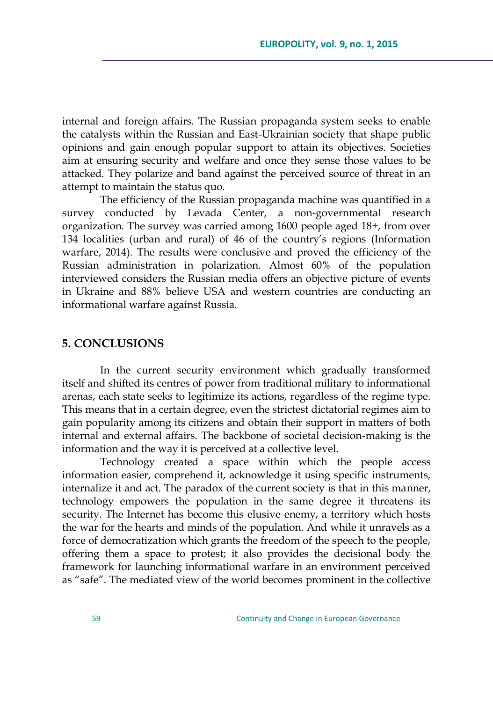internal and foreign affairs. The Russian propaganda system seeks to enable the catalysts within the Russian and East-Ukrainian society that shape public opinions and gain enough popular support to attain its objectives. Societies aim at ensuring security and welfare and once they sense those values to be attacked. They polarize and band against the perceived source of threat in an attempt to maintain the status quo.

The efficiency of the Russian propaganda machine was quantified in a survey conducted by Levada Center, a non-governmental research organization. The survey was carried among 1600 people aged 18+, from over 134 localities (urban and rural) of 46 of the country's regions (Information warfare, 2014). The results were conclusive and proved the efficiency of the Russian administration in polarization. Almost 60% of the population interviewed considers the Russian media offers an objective picture of events in Ukraine and 88% believe USA and western countries are conducting an informational warfare against Russia.

#### **5. CONCLUSIONS**

In the current security environment which gradually transformed itself and shifted its centres of power from traditional military to informational arenas, each state seeks to legitimize its actions, regardless of the regime type. This means that in a certain degree, even the strictest dictatorial regimes aim to gain popularity among its citizens and obtain their support in matters of both internal and external affairs. The backbone of societal decision-making is the information and the way it is perceived at a collective level.

Technology created a space within which the people access information easier, comprehend it, acknowledge it using specific instruments, internalize it and act. The paradox of the current society is that in this manner, technology empowers the population in the same degree it threatens its security. The Internet has become this elusive enemy, a territory which hosts the war for the hearts and minds of the population. And while it unravels as a force of democratization which grants the freedom of the speech to the people, offering them a space to protest; it also provides the decisional body the framework for launching informational warfare in an environment perceived as "safe". The mediated view of the world becomes prominent in the collective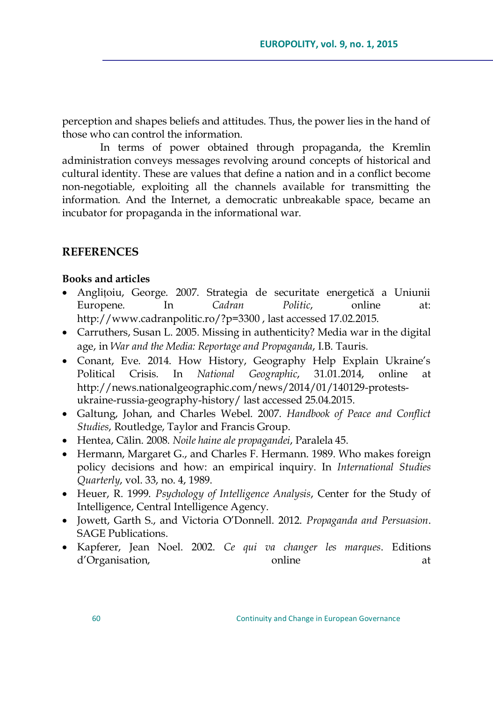perception and shapes beliefs and attitudes. Thus, the power lies in the hand of those who can control the information.

In terms of power obtained through propaganda, the Kremlin administration conveys messages revolving around concepts of historical and cultural identity. These are values that define a nation and in a conflict become non-negotiable, exploiting all the channels available for transmitting the information. And the Internet, a democratic unbreakable space, became an incubator for propaganda in the informational war.

#### **REFERENCES**

#### **Books and articles**

- Anglițoiu, George. 2007. Strategia de securitate energetică a Uniunii Europene. In *Cadran Politic*, online at: <http://www.cadranpolitic.ro/?p=3300> , last accessed 17.02.2015.
- Carruthers, Susan L. 2005. Missing in authenticity? Media war in the digital age, in *War and the Media: Reportage and Propaganda*, I.B. Tauris.
- Conant, Eve. 2014. How History, Geography Help Explain Ukraine's Political Crisis. In *National Geographic*, 31.01.2014, online at http://news.nationalgeographic.com/news/2014/01/140129-protestsukraine-russia-geography-history/ last accessed 25.04.2015.
- Galtung, Johan, and Charles Webel. 2007. *Handbook of Peace and Conflict Studies*, Routledge, Taylor and Francis Group.
- Hentea, Călin. 2008. *Noile haine ale propagandei*, Paralela 45.
- Hermann, Margaret G., and Charles F. Hermann. 1989. Who makes foreign policy decisions and how: an empirical inquiry. In *International Studies Quarterly*, vol. 33, no. 4, 1989.
- Heuer, R. 1999. *Psychology of Intelligence Analysis*, Center for the Study of Intelligence, Central Intelligence Agency.
- Jowett, Garth S., and Victoria O'Donnell. 2012. *Propaganda and Persuasion*. SAGE Publications.
- Kapferer, Jean Noel. 2002. *Ce qui va changer les marques*. Editions d'Organisation, online at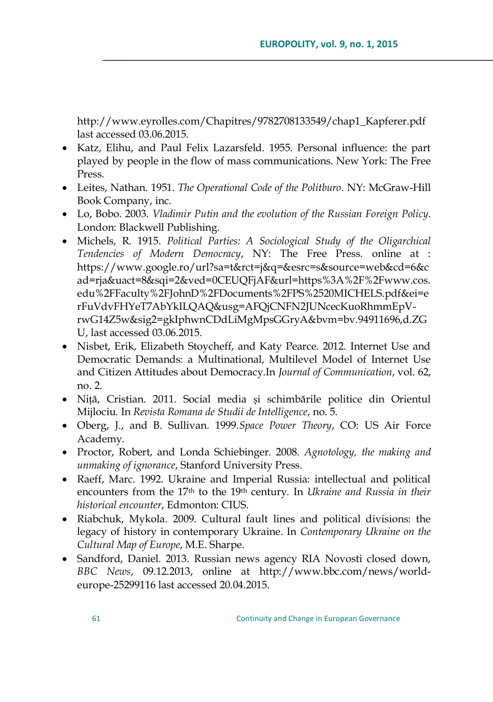http://www.eyrolles.com/Chapitres/9782708133549/chap1\_Kapferer.pdf last accessed 03.06.2015.

- Katz, Elihu, and Paul Felix Lazarsfeld. 1955. Personal influence: the part played by people in the flow of mass communications. New York: The Free Press.
- Leites, Nathan. 1951. *The Operational Code of the Politburo*. NY: McGraw-Hill Book Company, inc.
- Lo, Bobo. 2003. *Vladimir Putin and the evolution of the Russian Foreign Policy*. London: Blackwell Publishing.
- Michels, R. 1915. *Political Parties: A Sociological Study of the Oligarchical Tendencies of Modern Democracy*, NY: The Free Press. online at : [https://www.google.ro/url?sa=t&rct=j&q=&esrc=s&source=web&cd=6&c](https://www.google.ro/url?sa=t&rct=j&q=&esrc=s&source=web&cd=6&cad=rja&uact=8&sqi=2&ved=0CEUQFjAF&url=https%3A%2F%2Fwww.cos.edu%2FFaculty%2FJohnD%2FDocuments%2FPS%2520MICHELS.pdf&ei=erFuVdvFHYeT7AbYkILQAQ&usg=AFQjCNFN2JUNcecKuoRhmmEpV-rwG14Z5w&sig2=gkIphwnCDdLiMgMpsGGryA&bvm=bv.94911696,d.ZGU) [ad=rja&uact=8&sqi=2&ved=0CEUQFjAF&url=https%3A%2F%2Fwww.cos.](https://www.google.ro/url?sa=t&rct=j&q=&esrc=s&source=web&cd=6&cad=rja&uact=8&sqi=2&ved=0CEUQFjAF&url=https%3A%2F%2Fwww.cos.edu%2FFaculty%2FJohnD%2FDocuments%2FPS%2520MICHELS.pdf&ei=erFuVdvFHYeT7AbYkILQAQ&usg=AFQjCNFN2JUNcecKuoRhmmEpV-rwG14Z5w&sig2=gkIphwnCDdLiMgMpsGGryA&bvm=bv.94911696,d.ZGU) [edu%2FFaculty%2FJohnD%2FDocuments%2FPS%2520MICHELS.pdf&ei=e](https://www.google.ro/url?sa=t&rct=j&q=&esrc=s&source=web&cd=6&cad=rja&uact=8&sqi=2&ved=0CEUQFjAF&url=https%3A%2F%2Fwww.cos.edu%2FFaculty%2FJohnD%2FDocuments%2FPS%2520MICHELS.pdf&ei=erFuVdvFHYeT7AbYkILQAQ&usg=AFQjCNFN2JUNcecKuoRhmmEpV-rwG14Z5w&sig2=gkIphwnCDdLiMgMpsGGryA&bvm=bv.94911696,d.ZGU) [rFuVdvFHYeT7AbYkILQAQ&usg=AFQjCNFN2JUNcecKuoRhmmEpV](https://www.google.ro/url?sa=t&rct=j&q=&esrc=s&source=web&cd=6&cad=rja&uact=8&sqi=2&ved=0CEUQFjAF&url=https%3A%2F%2Fwww.cos.edu%2FFaculty%2FJohnD%2FDocuments%2FPS%2520MICHELS.pdf&ei=erFuVdvFHYeT7AbYkILQAQ&usg=AFQjCNFN2JUNcecKuoRhmmEpV-rwG14Z5w&sig2=gkIphwnCDdLiMgMpsGGryA&bvm=bv.94911696,d.ZGU)[rwG14Z5w&sig2=gkIphwnCDdLiMgMpsGGryA&bvm=bv.94911696,d.ZG](https://www.google.ro/url?sa=t&rct=j&q=&esrc=s&source=web&cd=6&cad=rja&uact=8&sqi=2&ved=0CEUQFjAF&url=https%3A%2F%2Fwww.cos.edu%2FFaculty%2FJohnD%2FDocuments%2FPS%2520MICHELS.pdf&ei=erFuVdvFHYeT7AbYkILQAQ&usg=AFQjCNFN2JUNcecKuoRhmmEpV-rwG14Z5w&sig2=gkIphwnCDdLiMgMpsGGryA&bvm=bv.94911696,d.ZGU) [U,](https://www.google.ro/url?sa=t&rct=j&q=&esrc=s&source=web&cd=6&cad=rja&uact=8&sqi=2&ved=0CEUQFjAF&url=https%3A%2F%2Fwww.cos.edu%2FFaculty%2FJohnD%2FDocuments%2FPS%2520MICHELS.pdf&ei=erFuVdvFHYeT7AbYkILQAQ&usg=AFQjCNFN2JUNcecKuoRhmmEpV-rwG14Z5w&sig2=gkIphwnCDdLiMgMpsGGryA&bvm=bv.94911696,d.ZGU) last accessed 03.06.2015.
- Nisbet, Erik, Elizabeth Stoycheff, and Katy Pearce. 2012. Internet Use and Democratic Demands: a Multinational, Multilevel Model of Internet Use and Citizen Attitudes about Democracy.In *Journal of Communication*, vol. 62, no. 2.
- Niță, Cristian. 2011. Social media și schimbările politice din Orientul Mijlociu. In *Revista Romana de Studii de Intelligence*, no. 5.
- Oberg, J., and B. Sullivan. 1999.*Space Power Theory*, CO: US Air Force Academy.
- Proctor, Robert, and Londa Schiebinger. 2008. *Agnotology, the making and unmaking of ignorance*, Stanford University Press.
- Raeff, Marc. 1992. Ukraine and Imperial Russia: intellectual and political encounters from the 17<sup>th</sup> to the 19<sup>th</sup> century. In *Ukraine and Russia in their historical encounter*, Edmonton: CIUS.
- Riabchuk, Mykola. 2009. Cultural fault lines and political divisions: the legacy of history in contemporary Ukraine. In *Contemporary Ukraine on the Cultural Map of Europe*, M.E. Sharpe.
- Sandford, Daniel. 2013. Russian news agency RIA Novosti closed down, *BBC News*, 09.12.2013, online at http://www.bbc.com/news/worldeurope-25299116 last accessed 20.04.2015.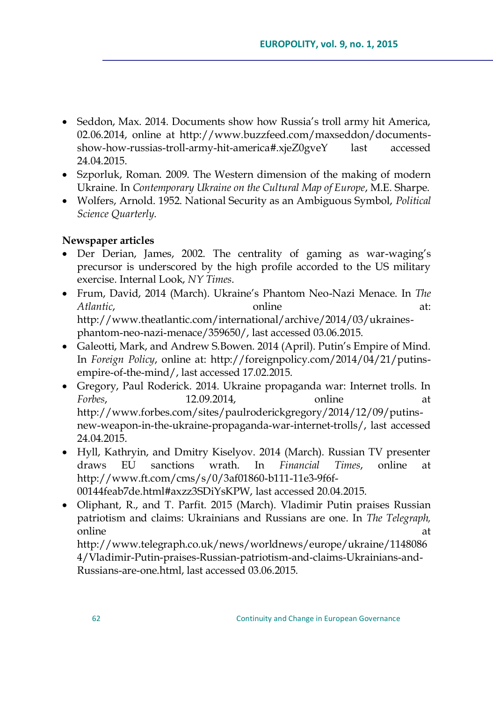- Seddon, Max. 2014. Documents show how Russia's troll army hit America, 02.06.2014, online at http://www.buzzfeed.com/maxseddon/documentsshow-how-russias-troll-army-hit-america#.xjeZ0gveY last accessed 24.04.2015.
- Szporluk, Roman. 2009. The Western dimension of the making of modern Ukraine. In *Contemporary Ukraine on the Cultural Map of Europe*, M.E. Sharpe.
- Wolfers, Arnold. 1952. National Security as an Ambiguous Symbol, *Political Science Quarterly*.

# **Newspaper articles**

- Der Derian, James, 2002. The centrality of gaming as war-waging's precursor is underscored by the high profile accorded to the US military exercise. Internal Look, *NY Times*.
- Frum, David, 2014 (March). Ukraine's Phantom Neo-Nazi Menace. In *The Atlantic,* at: **online** at: http://www.theatlantic.com/international/archive/2014/03/ukrainesphantom-neo-nazi-menace/359650/, last accessed 03.06.2015.
- Galeotti, Mark, and Andrew S.Bowen. 2014 (April). Putin's Empire of Mind. In *Foreign Policy*, online at: [http://foreignpolicy.com/2014/04/21/putins](http://foreignpolicy.com/2014/04/21/putins-empire-of-the-mind/)[empire-of-the-mind/,](http://foreignpolicy.com/2014/04/21/putins-empire-of-the-mind/) last accessed 17.02.2015.
- Gregory, Paul Roderick. 2014. Ukraine propaganda war: Internet trolls. In *Forbes*, 12.09.2014, online at http://www.forbes.com/sites/paulroderickgregory/2014/12/09/putinsnew-weapon-in-the-ukraine-propaganda-war-internet-trolls/, last accessed 24.04.2015.
- Hyll, Kathryin, and Dmitry Kiselyov. 2014 (March). Russian TV presenter draws EU sanctions wrath. In *Financial Times*, online at http://www.ft.com/cms/s/0/3af01860-b111-11e3-9f6f-00144feab7de.html#axzz3SDiYsKPW, last accessed 20.04.2015.
- Oliphant, R., and T. Parfit. 2015 (March). Vladimir Putin praises Russian patriotism and claims: Ukrainians and Russians are one. In *The Telegraph,*  online at a state of the state of the state of the state  $\alpha$  at a state of the state of the state of the state of the state of the state of the state of the state of the state of the state of the state of the state of the

http://www.telegraph.co.uk/news/worldnews/europe/ukraine/1148086 4/Vladimir-Putin-praises-Russian-patriotism-and-claims-Ukrainians-and-Russians-are-one.html, last accessed 03.06.2015.